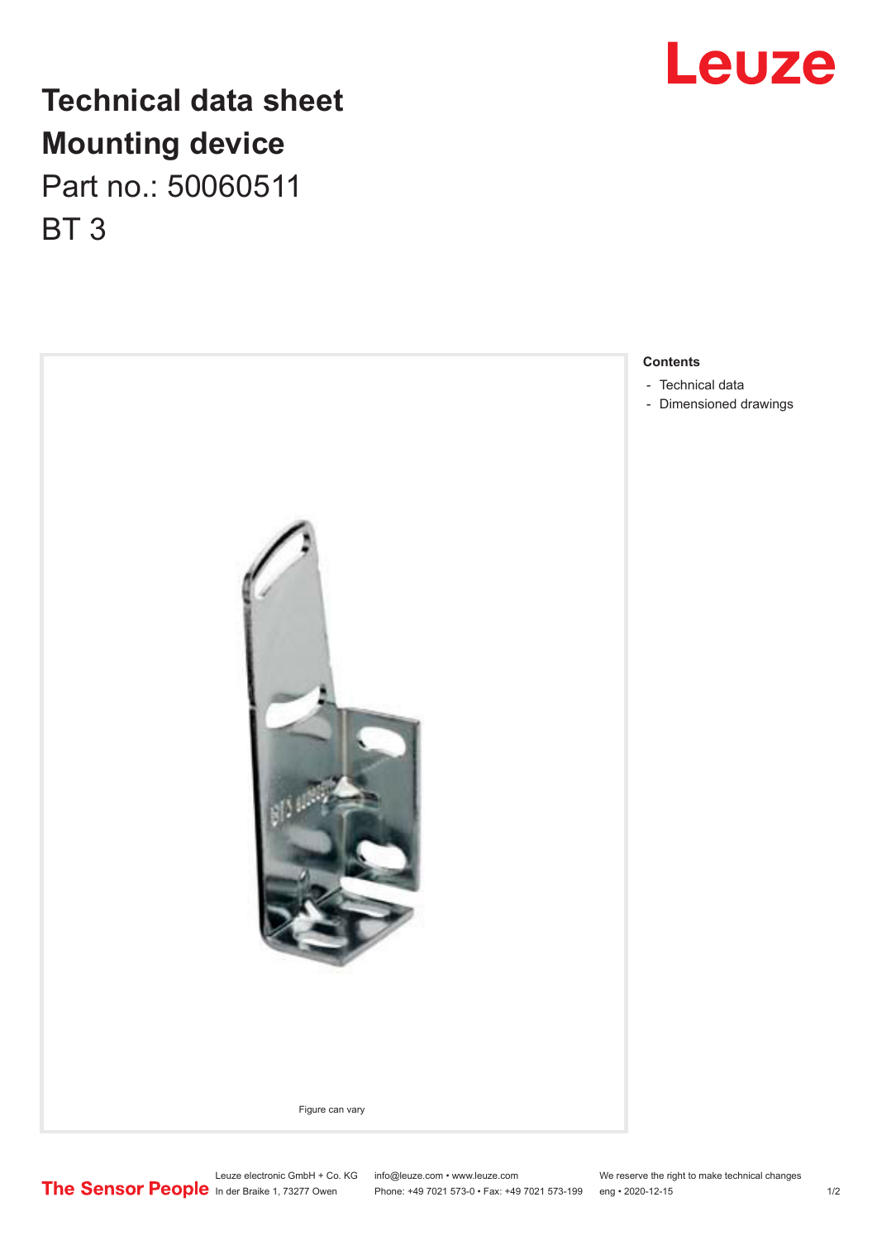

## **Technical data sheet Mounting device** Part no.: 50060511 BT 3